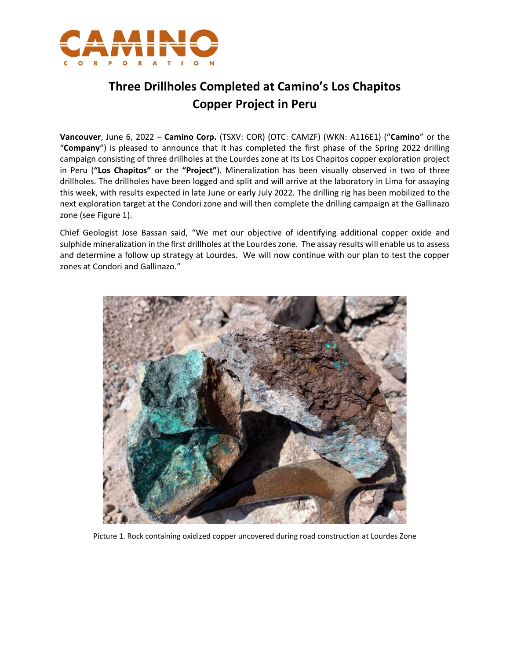

## **Three Drillholes Completed at Camino's Los Chapitos Copper Project in Peru**

**Vancouver**, June 6, 2022 – **Camino Corp.** (TSXV: COR) (OTC: CAMZF) (WKN: A116E1) ("**Camino**" or the "**Company**") is pleased to announce that it has completed the first phase of the Spring 2022 drilling campaign consisting of three drillholes at the Lourdes zone at its Los Chapitos copper exploration project in Peru (**"Los Chapitos"** or the **"Project"**). Mineralization has been visually observed in two of three drillholes. The drillholes have been logged and split and will arrive at the laboratory in Lima for assaying this week, with results expected in late June or early July 2022. The drilling rig has been mobilized to the next exploration target at the Condori zone and will then complete the drilling campaign at the Gallinazo zone (see Figure 1).

Chief Geologist Jose Bassan said, "We met our objective of identifying additional copper oxide and sulphide mineralization in the first drillholes at the Lourdes zone. The assay results will enable usto assess and determine a follow up strategy at Lourdes. We will now continue with our plan to test the copper zones at Condori and Gallinazo."



Picture 1. Rock containing oxidized copper uncovered during road construction at Lourdes Zone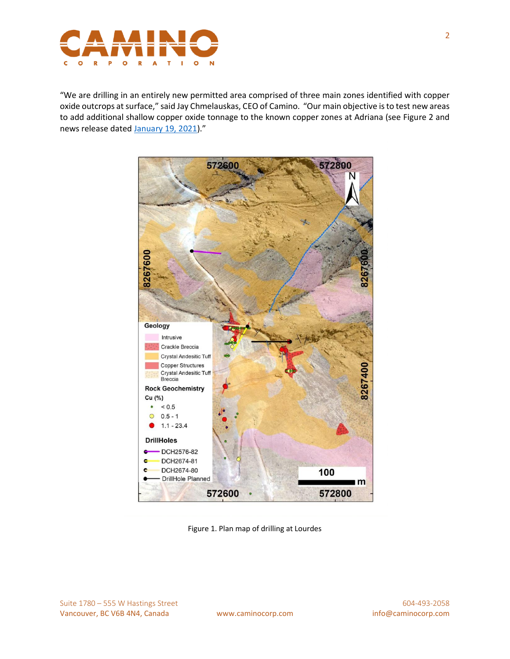

"We are drilling in an entirely new permitted area comprised of three main zones identified with copper oxide outcrops at surface," said Jay Chmelauskas, CEO of Camino. "Our main objective is to test new areas to add additional shallow copper oxide tonnage to the known copper zones at Adriana (see Figure 2 and news release dated [January 19, 2021\)](https://caminocorp.com/news/camino-intercepts-55-5-m-0-72-cu-and-near-surface-64-5-m-0-6-cu-on-its-los-chapitos-copper-property/)."



Figure 1. Plan map of drilling at Lourdes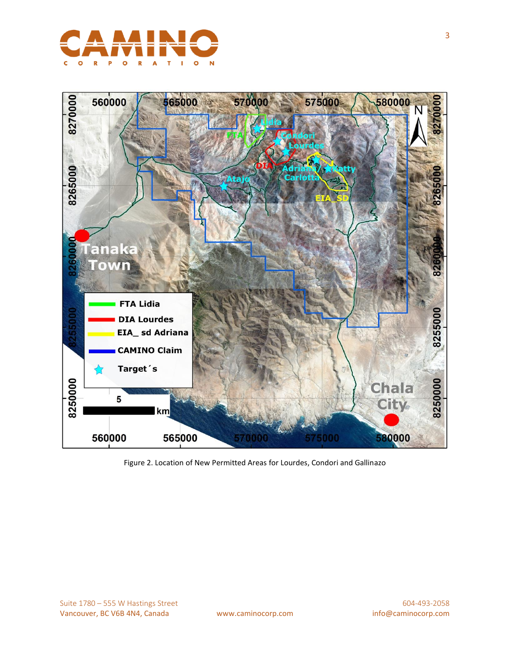



Figure 2. Location of New Permitted Areas for Lourdes, Condori and Gallinazo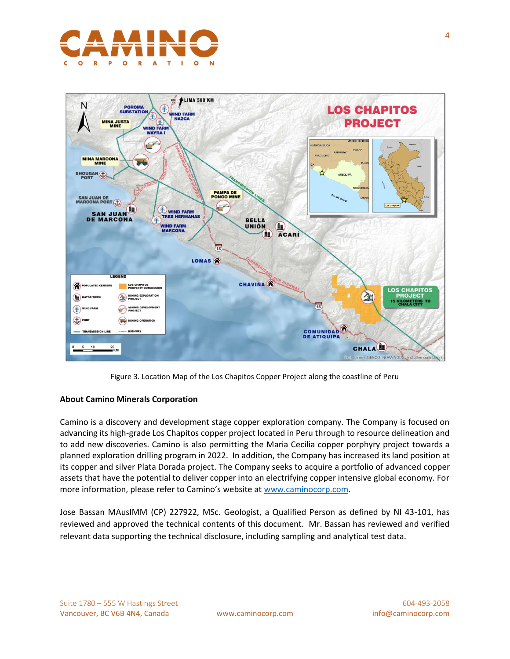



Figure 3. Location Map of the Los Chapitos Copper Project along the coastline of Peru

## **About Camino Minerals Corporation**

Camino is a discovery and development stage copper exploration company. The Company is focused on advancing its high-grade Los Chapitos copper project located in Peru through to resource delineation and to add new discoveries. Camino is also permitting the Maria Cecilia copper porphyry project towards a planned exploration drilling program in 2022. In addition, the Company has increased its land position at its copper and silver Plata Dorada project. The Company seeks to acquire a portfolio of advanced copper assets that have the potential to deliver copper into an electrifying copper intensive global economy. For more information, please refer to Camino's website at [www.caminocorp.com.](http://www.caminocorp.com/)

Jose Bassan MAusIMM (CP) 227922, MSc. Geologist, a Qualified Person as defined by NI 43-101, has reviewed and approved the technical contents of this document. Mr. Bassan has reviewed and verified relevant data supporting the technical disclosure, including sampling and analytical test data.